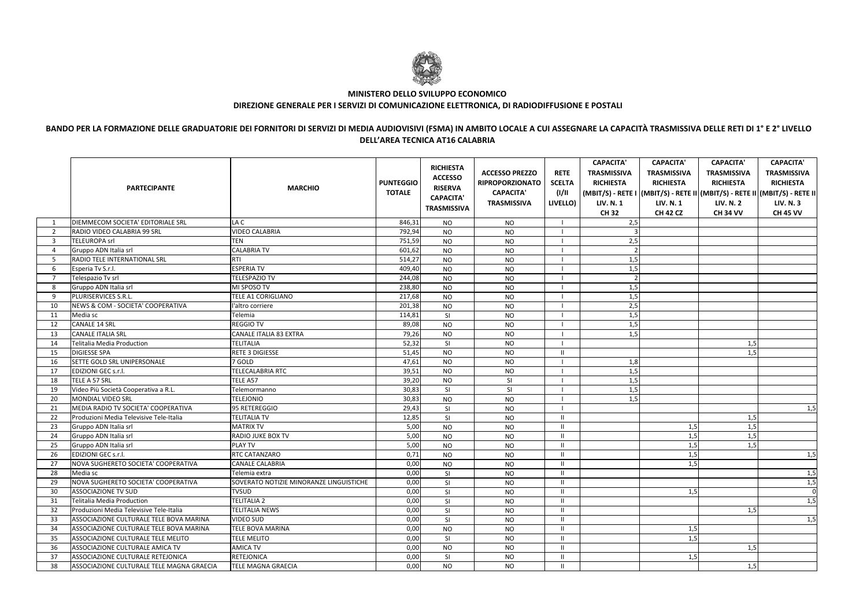|                | <b>PARTECIPANTE</b>                       | <b>MARCHIO</b>                          | <b>PUNTEGGIO</b><br><b>TOTALE</b> | <b>RICHIESTA</b><br><b>ACCESSO</b><br><b>RISERVA</b><br><b>CAPACITA'</b><br><b>TRASMISSIVA</b> | <b>ACCESSO PREZZO</b><br><b>RIPROPORZIONATO</b><br><b>CAPACITA'</b><br><b>TRASMISSIVA</b> | <b>RETE</b><br><b>SCELTA</b><br>(1/11)<br>LIVELLO) | <b>CAPACITA'</b><br><b>TRASMISSIVA</b><br><b>RICHIESTA</b><br><b>LIV. N. 1</b><br><b>CH32</b> | <b>CAPACITA'</b><br><b>TRASMISSIVA</b><br><b>RICHIESTA</b><br><b>LIV. N. 1</b><br><b>CH 42 CZ</b> | <b>CAPACITA'</b><br><b>TRASMISSIVA</b><br><b>RICHIESTA</b><br><b>LIV. N. 2</b><br><b>CH 34 VV</b> | <b>CAPACITA'</b><br><b>TRASMISSIVA</b><br><b>RICHIESTA</b><br>(MBIT/S) - RETE I   (MBIT/S) - RETE II   (MBIT/S) - RETE II   (MBIT/S) - RETE II<br><b>LIV. N.3</b><br><b>CH 45 VV</b> |
|----------------|-------------------------------------------|-----------------------------------------|-----------------------------------|------------------------------------------------------------------------------------------------|-------------------------------------------------------------------------------------------|----------------------------------------------------|-----------------------------------------------------------------------------------------------|---------------------------------------------------------------------------------------------------|---------------------------------------------------------------------------------------------------|--------------------------------------------------------------------------------------------------------------------------------------------------------------------------------------|
|                | DIEMMECOM SOCIETA' EDITORIALE SRL         | LA C                                    | 846,31                            | <b>NO</b>                                                                                      | <b>NO</b>                                                                                 |                                                    | 2,5                                                                                           |                                                                                                   |                                                                                                   |                                                                                                                                                                                      |
| $\overline{2}$ | RADIO VIDEO CALABRIA 99 SRL               | <b>VIDEO CALABRIA</b>                   | 792,94                            | <b>NO</b>                                                                                      | <b>NO</b>                                                                                 |                                                    |                                                                                               |                                                                                                   |                                                                                                   |                                                                                                                                                                                      |
| 3              | TELEUROPA srl                             | <b>TEN</b>                              | 751,59                            | <b>NO</b>                                                                                      | <b>NO</b>                                                                                 |                                                    | 2,5                                                                                           |                                                                                                   |                                                                                                   |                                                                                                                                                                                      |
| $\overline{4}$ | Gruppo ADN Italia srl                     | CALABRIA TV                             | 601,62                            | <b>NO</b>                                                                                      | <b>NO</b>                                                                                 |                                                    |                                                                                               |                                                                                                   |                                                                                                   |                                                                                                                                                                                      |
| -5             | RADIO TELE INTERNATIONAL SRL              | RTI                                     | 514,27                            | <b>NO</b>                                                                                      | <b>NO</b>                                                                                 |                                                    | 1,5                                                                                           |                                                                                                   |                                                                                                   |                                                                                                                                                                                      |
| -6             | Esperia Tv S.r.l.                         | <b>ESPERIA TV</b>                       | 409,40                            | <b>NO</b>                                                                                      | <b>NO</b>                                                                                 |                                                    | 1,5                                                                                           |                                                                                                   |                                                                                                   |                                                                                                                                                                                      |
| 7              | Telespazio Tv srl                         | <b>TELESPAZIO TV</b>                    | 244,08                            | <b>NO</b>                                                                                      | <b>NO</b>                                                                                 |                                                    |                                                                                               |                                                                                                   |                                                                                                   |                                                                                                                                                                                      |
| -8             | Gruppo ADN Italia srl                     | MI SPOSO TV                             | 238,80                            | <b>NO</b>                                                                                      | <b>NO</b>                                                                                 |                                                    | 1,5                                                                                           |                                                                                                   |                                                                                                   |                                                                                                                                                                                      |
| -9             | PLURISERVICES S.R.L.                      | TELE A1 CORIGLIANO                      | 217,68                            | <b>NO</b>                                                                                      | <b>NO</b>                                                                                 |                                                    | 1,5                                                                                           |                                                                                                   |                                                                                                   |                                                                                                                                                                                      |
| 10             | NEWS & COM - SOCIETA' COOPERATIVA         | "altro corriere                         | 201,38                            | <b>NO</b>                                                                                      | <b>NO</b>                                                                                 |                                                    | 2,5                                                                                           |                                                                                                   |                                                                                                   |                                                                                                                                                                                      |
| 11             | Media sc                                  | Telemia                                 | 114,81                            | <b>SI</b>                                                                                      | <b>NO</b>                                                                                 |                                                    | 1,5                                                                                           |                                                                                                   |                                                                                                   |                                                                                                                                                                                      |
| 12             | <b>CANALE 14 SRL</b>                      | <b>REGGIO TV</b>                        | 89,08                             | <b>NO</b>                                                                                      | <b>NO</b>                                                                                 |                                                    | 1,5                                                                                           |                                                                                                   |                                                                                                   |                                                                                                                                                                                      |
| 13             | <b>CANALE ITALIA SRL</b>                  | CANALE ITALIA 83 EXTRA                  | 79,26                             | <b>NO</b>                                                                                      | <b>NO</b>                                                                                 |                                                    | 1,5                                                                                           |                                                                                                   |                                                                                                   |                                                                                                                                                                                      |
| 14             | Telitalia Media Production                | <b>TELITALIA</b>                        | 52,32                             | SI                                                                                             | <b>NO</b>                                                                                 |                                                    |                                                                                               |                                                                                                   | 1,5                                                                                               |                                                                                                                                                                                      |
| 15             | <b>DIGIESSE SPA</b>                       | RETE 3 DIGIESSE                         | 51,45                             | <b>NO</b>                                                                                      | <b>NO</b>                                                                                 | $\mathbf{H}$                                       |                                                                                               |                                                                                                   | 1,5                                                                                               |                                                                                                                                                                                      |
| 16             | SETTE GOLD SRL UNIPERSONALE               | 7 GOLD                                  | 47,61                             | <b>NO</b>                                                                                      | <b>NO</b>                                                                                 |                                                    | 1,8                                                                                           |                                                                                                   |                                                                                                   |                                                                                                                                                                                      |
| 17             | <b>EDIZIONI GEC s.r.l.</b>                | TELECALABRIA RTC                        | 39,51                             | <b>NO</b>                                                                                      | <b>NO</b>                                                                                 |                                                    | 1,5                                                                                           |                                                                                                   |                                                                                                   |                                                                                                                                                                                      |
| 18             | TELE A 57 SRL                             | TELE A57                                | 39,20                             | <b>NO</b>                                                                                      | SI                                                                                        |                                                    | 1,5                                                                                           |                                                                                                   |                                                                                                   |                                                                                                                                                                                      |
| 19             | Video Più Società Cooperativa a R.L.      | Telemormanno                            | 30,83                             | <b>SI</b>                                                                                      | SI                                                                                        |                                                    | 1,5                                                                                           |                                                                                                   |                                                                                                   |                                                                                                                                                                                      |
| 20             | MONDIAL VIDEO SRL                         | <b>TELEJONIO</b>                        | 30,83                             | <b>NO</b>                                                                                      | <b>NO</b>                                                                                 |                                                    | 1,5                                                                                           |                                                                                                   |                                                                                                   |                                                                                                                                                                                      |
| 21             | MEDIA RADIO TV SOCIETA' COOPERATIVA       | 95 RETEREGGIO                           | 29,43                             | SI                                                                                             | <b>NO</b>                                                                                 |                                                    |                                                                                               |                                                                                                   |                                                                                                   | 1,5                                                                                                                                                                                  |
| -22            | Produzioni Media Televisive Tele-Italia   | <b>TELITALIA TV</b>                     | 12,85                             | SI                                                                                             | <b>NO</b>                                                                                 | $\mathbf{H}$                                       |                                                                                               |                                                                                                   | 1,5                                                                                               |                                                                                                                                                                                      |
| 23             | Gruppo ADN Italia srl                     | <b>MATRIX TV</b>                        | 5,00                              | <b>NO</b>                                                                                      | <b>NO</b>                                                                                 | $\mathbf{H}$                                       |                                                                                               | 1,5                                                                                               | 1,5                                                                                               |                                                                                                                                                                                      |
| 24             | Gruppo ADN Italia srl                     | RADIO JUKE BOX TV                       | 5,00                              | <b>NO</b>                                                                                      | <b>NO</b>                                                                                 | $\mathbf{I}$                                       |                                                                                               | 1,5                                                                                               | 1,5                                                                                               |                                                                                                                                                                                      |
| -25            | Gruppo ADN Italia srl                     | <b>PLAY TV</b>                          | 5,00                              | <b>NO</b>                                                                                      | <b>NO</b>                                                                                 | $\mathbf{I}$                                       |                                                                                               | 1,5                                                                                               | 1,5                                                                                               |                                                                                                                                                                                      |
| -26            | EDIZIONI GEC s.r.l.                       | RTC CATANZARO                           | 0,71                              | <b>NO</b>                                                                                      | <b>NO</b>                                                                                 | $\mathbf{I}$                                       |                                                                                               | 1,5                                                                                               |                                                                                                   | 1,5                                                                                                                                                                                  |
| 27             | NOVA SUGHERETO SOCIETA' COOPERATIVA       | CANALE CALABRIA                         | 0,00                              | <b>NO</b>                                                                                      | <b>NO</b>                                                                                 | $\mathbf{H}$                                       |                                                                                               | 1,5                                                                                               |                                                                                                   |                                                                                                                                                                                      |
| 28             | Media sc                                  | Telemia extra                           | 0,00                              | SI                                                                                             | <b>NO</b>                                                                                 | $\mathbf{I}$                                       |                                                                                               |                                                                                                   |                                                                                                   | 1,5                                                                                                                                                                                  |
| 29             | NOVA SUGHERETO SOCIETA' COOPERATIVA       | SOVERATO NOTIZIE MINORANZE LINGUISTICHE | 0,00                              | SI                                                                                             | $NO$                                                                                      | $\mathbf{H}$<br>.                                  |                                                                                               |                                                                                                   |                                                                                                   | 1,5                                                                                                                                                                                  |
| -30            | IASSOCIAZIONE TV SUD                      | <b>TVSUD</b>                            | 0,00                              | SI                                                                                             | <b>NO</b>                                                                                 | -11                                                |                                                                                               | 1,5                                                                                               |                                                                                                   | $\Omega$                                                                                                                                                                             |
| -31            | Telitalia Media Production                | <b>TELITALIA 2</b>                      | 0,00                              | <b>SI</b>                                                                                      | <b>NO</b>                                                                                 | $\mathbf{H}$                                       |                                                                                               |                                                                                                   |                                                                                                   | 1,5                                                                                                                                                                                  |
| -32            | Produzioni Media Televisive Tele-Italia   | <b>TELITALIA NEWS</b>                   | 0,00                              | <b>SI</b>                                                                                      | <b>NO</b>                                                                                 | $\mathbf{H}$                                       |                                                                                               |                                                                                                   | 1,5                                                                                               |                                                                                                                                                                                      |
| -33            | ASSOCIAZIONE CULTURALE TELE BOVA MARINA   | VIDEO SUD                               | 0,00                              | SI                                                                                             | <b>NO</b>                                                                                 | $\mathbf{H}$                                       |                                                                                               |                                                                                                   |                                                                                                   | 1,5                                                                                                                                                                                  |
| -34            | ASSOCIAZIONE CULTURALE TELE BOVA MARINA   | TELE BOVA MARINA                        | 0,00                              | <b>NO</b>                                                                                      | <b>NO</b>                                                                                 | $\mathbf{H}$                                       |                                                                                               | 1,5                                                                                               |                                                                                                   |                                                                                                                                                                                      |
| 35             | ASSOCIAZIONE CULTURALE TELE MELITO        | <b>TELE MELITO</b>                      | 0,00                              | -SI                                                                                            | <b>NO</b>                                                                                 | $\mathbf{H}$                                       |                                                                                               | 1,5                                                                                               |                                                                                                   |                                                                                                                                                                                      |
| 36             | ASSOCIAZIONE CULTURALE AMICA TV           | AMICA TV                                | 0,00                              | <b>NO</b>                                                                                      | <b>NO</b>                                                                                 | $\mathbf{H}$                                       |                                                                                               |                                                                                                   | 1,5                                                                                               |                                                                                                                                                                                      |
| 37             | ASSOCIAZIONE CULTURALE RETEJONICA         | RETEJONICA                              | 0,00                              | SI                                                                                             | <b>NO</b>                                                                                 | $\mathbf{I}$                                       |                                                                                               | 1,5                                                                                               |                                                                                                   |                                                                                                                                                                                      |
| 38             | ASSOCIAZIONE CULTURALE TELE MAGNA GRAECIA | TELE MAGNA GRAECIA                      | 0,00                              | <b>NO</b>                                                                                      | <b>NO</b>                                                                                 | -11                                                |                                                                                               |                                                                                                   | 1,5                                                                                               |                                                                                                                                                                                      |



## **MINISTERO DELLO SVILUPPO ECONOMICODIREZIONE GENERALE PER I SERVIZI DI COMUNICAZIONE ELETTRONICA, DI RADIODIFFUSIONE E POSTALI**

## **BANDO PER LA FORMAZIONE DELLE GRADUATORIE DEI FORNITORI DI SERVIZI DI MEDIA AUDIOVISIVI (FSMA) IN AMBITO LOCALE A CUI ASSEGNARE LA CAPACITÀ TRASMISSIVA DELLE RETI DI 1° E 2° LIVELLO DELL'AREA TECNICA AT16 CALABRIA**